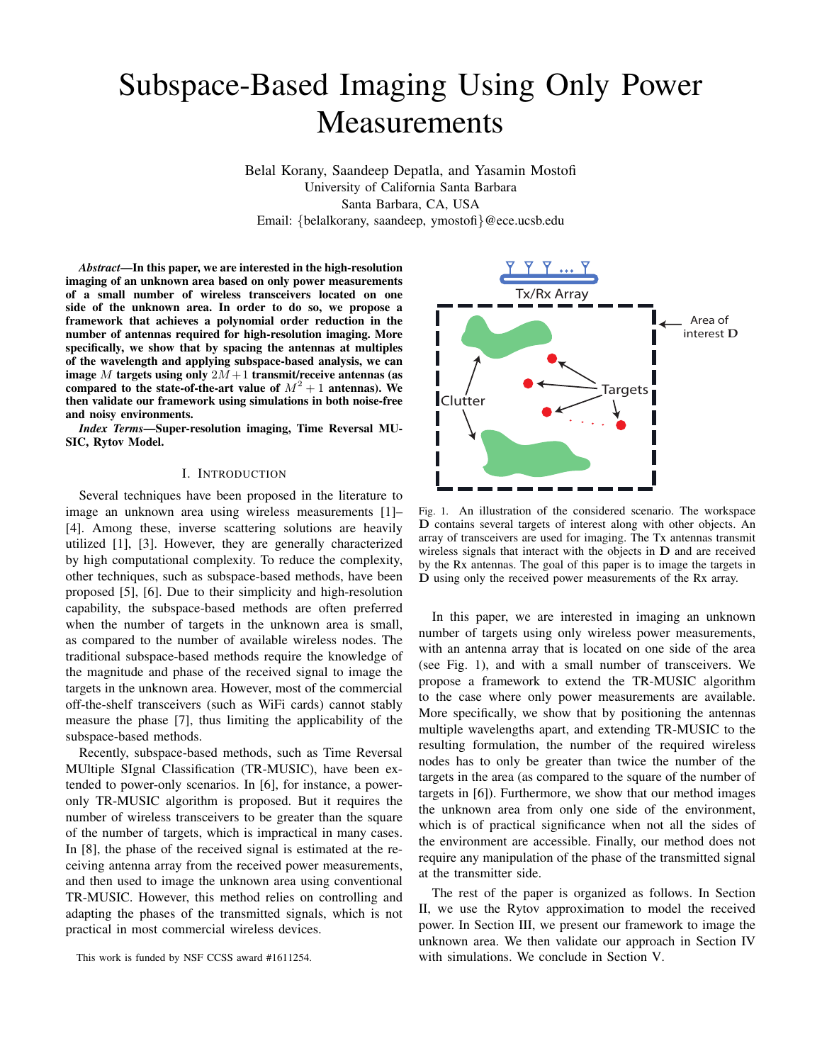# Subspace-Based Imaging Using Only Power Measurements

Belal Korany, Saandeep Depatla, and Yasamin Mostofi University of California Santa Barbara Santa Barbara, CA, USA Email: {belalkorany, saandeep, ymostofi}@ece.ucsb.edu

*Abstract*—In this paper, we are interested in the high-resolution imaging of an unknown area based on only power measurements of a small number of wireless transceivers located on one side of the unknown area. In order to do so, we propose a framework that achieves a polynomial order reduction in the number of antennas required for high-resolution imaging. More specifically, we show that by spacing the antennas at multiples of the wavelength and applying subspace-based analysis, we can image M targets using only  $2M+1$  transmit/receive antennas (as compared to the state-of-the-art value of  $M^2 + 1$  antennas). We then validate our framework using simulations in both noise-free and noisy environments.

*Index Terms*—Super-resolution imaging, Time Reversal MU-SIC, Rytov Model.

#### I. INTRODUCTION

Several techniques have been proposed in the literature to image an unknown area using wireless measurements [1]– [4]. Among these, inverse scattering solutions are heavily utilized [1], [3]. However, they are generally characterized by high computational complexity. To reduce the complexity, other techniques, such as subspace-based methods, have been proposed [5], [6]. Due to their simplicity and high-resolution capability, the subspace-based methods are often preferred when the number of targets in the unknown area is small, as compared to the number of available wireless nodes. The traditional subspace-based methods require the knowledge of the magnitude and phase of the received signal to image the targets in the unknown area. However, most of the commercial off-the-shelf transceivers (such as WiFi cards) cannot stably measure the phase [7], thus limiting the applicability of the subspace-based methods.

Recently, subspace-based methods, such as Time Reversal MUltiple SIgnal Classification (TR-MUSIC), have been extended to power-only scenarios. In [6], for instance, a poweronly TR-MUSIC algorithm is proposed. But it requires the number of wireless transceivers to be greater than the square of the number of targets, which is impractical in many cases. In [8], the phase of the received signal is estimated at the receiving antenna array from the received power measurements, and then used to image the unknown area using conventional TR-MUSIC. However, this method relies on controlling and adapting the phases of the transmitted signals, which is not practical in most commercial wireless devices.



Fig. 1. An illustration of the considered scenario. The workspace D contains several targets of interest along with other objects. An array of transceivers are used for imaging. The Tx antennas transmit wireless signals that interact with the objects in D and are received by the Rx antennas. The goal of this paper is to image the targets in D using only the received power measurements of the Rx array.

In this paper, we are interested in imaging an unknown number of targets using only wireless power measurements, with an antenna array that is located on one side of the area (see Fig. 1), and with a small number of transceivers. We propose a framework to extend the TR-MUSIC algorithm to the case where only power measurements are available. More specifically, we show that by positioning the antennas multiple wavelengths apart, and extending TR-MUSIC to the resulting formulation, the number of the required wireless nodes has to only be greater than twice the number of the targets in the area (as compared to the square of the number of targets in [6]). Furthermore, we show that our method images the unknown area from only one side of the environment, which is of practical significance when not all the sides of the environment are accessible. Finally, our method does not require any manipulation of the phase of the transmitted signal at the transmitter side.

The rest of the paper is organized as follows. In Section II, we use the Rytov approximation to model the received power. In Section III, we present our framework to image the unknown area. We then validate our approach in Section IV with simulations. We conclude in Section V.

This work is funded by NSF CCSS award #1611254.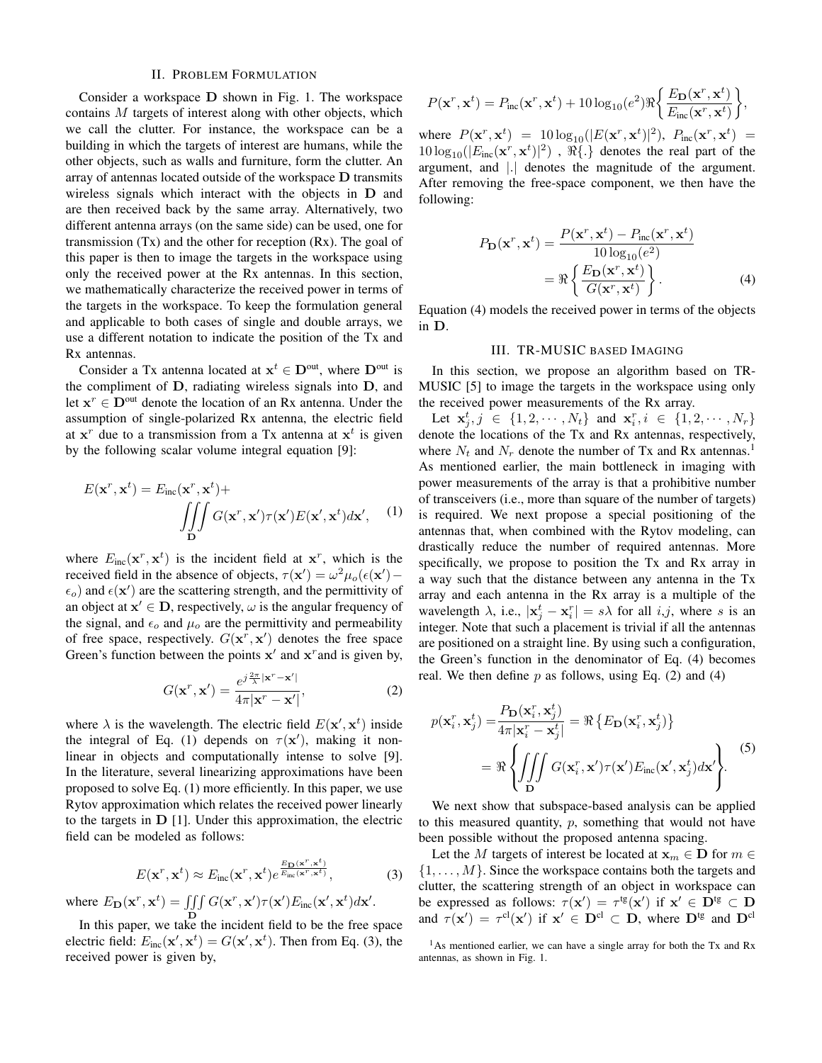# II. PROBLEM FORMULATION

Consider a workspace D shown in Fig. 1. The workspace contains M targets of interest along with other objects, which we call the clutter. For instance, the workspace can be a building in which the targets of interest are humans, while the other objects, such as walls and furniture, form the clutter. An array of antennas located outside of the workspace D transmits wireless signals which interact with the objects in D and are then received back by the same array. Alternatively, two different antenna arrays (on the same side) can be used, one for transmission  $(Tx)$  and the other for reception  $(Rx)$ . The goal of this paper is then to image the targets in the workspace using only the received power at the Rx antennas. In this section, we mathematically characterize the received power in terms of the targets in the workspace. To keep the formulation general and applicable to both cases of single and double arrays, we use a different notation to indicate the position of the Tx and Rx antennas.

Consider a Tx antenna located at  $x^t \in D^{\text{out}}$ , where  $D^{\text{out}}$  is the compliment of D, radiating wireless signals into D, and let  $x^r \in D^{\text{out}}$  denote the location of an Rx antenna. Under the assumption of single-polarized Rx antenna, the electric field at  $x^r$  due to a transmission from a Tx antenna at  $x^t$  is given by the following scalar volume integral equation [9]:

$$
E(\mathbf{x}^r, \mathbf{x}^t) = E_{inc}(\mathbf{x}^r, \mathbf{x}^t) + \int\!\!\!\int\!\!\!\int\limits_{\mathbf{D}} G(\mathbf{x}^r, \mathbf{x}') \tau(\mathbf{x}') E(\mathbf{x}', \mathbf{x}^t) d\mathbf{x}', \quad (1)
$$

where  $E_{inc}(\mathbf{x}^r, \mathbf{x}^t)$  is the incident field at  $\mathbf{x}^r$ , which is the received field in the absence of objects,  $\tau(\mathbf{x}') = \omega^2 \mu_o(\epsilon(\mathbf{x}') - \epsilon)$  $\epsilon_o$ ) and  $\epsilon(\mathbf{x}')$  are the scattering strength, and the permittivity of an object at  $x' \in D$ , respectively,  $\omega$  is the angular frequency of the signal, and  $\epsilon_o$  and  $\mu_o$  are the permittivity and permeability of free space, respectively.  $G(\mathbf{x}^r, \mathbf{x}')$  denotes the free space Green's function between the points  $x'$  and  $x^r$  and is given by,

$$
G(\mathbf{x}^r, \mathbf{x}') = \frac{e^{j\frac{2\pi}{\lambda}|\mathbf{x}^r - \mathbf{x}'|}}{4\pi|\mathbf{x}^r - \mathbf{x}'|},
$$
(2)

where  $\lambda$  is the wavelength. The electric field  $E(\mathbf{x}', \mathbf{x}^t)$  inside the integral of Eq. (1) depends on  $\tau(\mathbf{x}')$ , making it nonlinear in objects and computationally intense to solve [9]. In the literature, several linearizing approximations have been proposed to solve Eq. (1) more efficiently. In this paper, we use Rytov approximation which relates the received power linearly to the targets in  $D$  [1]. Under this approximation, the electric field can be modeled as follows:

$$
E(\mathbf{x}^r, \mathbf{x}^t) \approx E_{\text{inc}}(\mathbf{x}^r, \mathbf{x}^t) e^{\frac{E_{\mathbf{D}}(\mathbf{x}^r, \mathbf{x}^t)}{E_{\text{inc}}(\mathbf{x}^r, \mathbf{x}^t)}},
$$
(3)

where  $E_{\mathbf{D}}(\mathbf{x}^r, \mathbf{x}^t) = \iiint G(\mathbf{x}^r, \mathbf{x}') \tau(\mathbf{x}') E_{\text{inc}}(\mathbf{x}', \mathbf{x}^t) d\mathbf{x}'.$ 

D In this paper, we take the incident field to be the free space electric field:  $E_{inc}(\mathbf{x}', \mathbf{x}^t) = G(\mathbf{x}', \mathbf{x}^t)$ . Then from Eq. (3), the received power is given by,

$$
P(\mathbf{x}^r, \mathbf{x}^t) = P_{\text{inc}}(\mathbf{x}^r, \mathbf{x}^t) + 10 \log_{10}(e^2) \Re \left\{ \frac{E_{\mathbf{D}}(\mathbf{x}^r, \mathbf{x}^t)}{E_{\text{inc}}(\mathbf{x}^r, \mathbf{x}^t)} \right\},
$$

where  $P(\mathbf{x}^r, \mathbf{x}^t) = 10 \log_{10}(|E(\mathbf{x}^r, \mathbf{x}^t)|^2)$ ,  $P_{inc}(\mathbf{x}^r, \mathbf{x}^t) =$  $10\log_{10}(|E_{\text{inc}}(\mathbf{x}^r, \mathbf{x}^t)|^2)$ ,  $\Re\{\cdot\}$  denotes the real part of the argument, and |.| denotes the magnitude of the argument. After removing the free-space component, we then have the following:

$$
P_{\mathbf{D}}(\mathbf{x}^r, \mathbf{x}^t) = \frac{P(\mathbf{x}^r, \mathbf{x}^t) - P_{\text{inc}}(\mathbf{x}^r, \mathbf{x}^t)}{10 \log_{10}(e^2)}
$$
  
= 
$$
\Re \left\{ \frac{E_{\mathbf{D}}(\mathbf{x}^r, \mathbf{x}^t)}{G(\mathbf{x}^r, \mathbf{x}^t)} \right\}.
$$
 (4)

Equation (4) models the received power in terms of the objects in D.

#### III. TR-MUSIC BASED IMAGING

In this section, we propose an algorithm based on TR-MUSIC [5] to image the targets in the workspace using only the received power measurements of the Rx array.

Let  $x_j^t, j \in \{1, 2, \dots, N_t\}$  and  $x_i^r, i \in \{1, 2, \dots, N_r\}$ denote the locations of the Tx and Rx antennas, respectively, where  $N_t$  and  $N_r$  denote the number of Tx and Rx antennas.<sup>1</sup> As mentioned earlier, the main bottleneck in imaging with power measurements of the array is that a prohibitive number of transceivers (i.e., more than square of the number of targets) is required. We next propose a special positioning of the antennas that, when combined with the Rytov modeling, can drastically reduce the number of required antennas. More specifically, we propose to position the Tx and Rx array in a way such that the distance between any antenna in the Tx array and each antenna in the Rx array is a multiple of the wavelength  $\lambda$ , i.e.,  $|\mathbf{x}_j^t - \mathbf{x}_i^r| = s\lambda$  for all  $i, j$ , where s is an integer. Note that such a placement is trivial if all the antennas are positioned on a straight line. By using such a configuration, the Green's function in the denominator of Eq. (4) becomes real. We then define  $p$  as follows, using Eq. (2) and (4)

$$
p(\mathbf{x}_i^r, \mathbf{x}_j^t) = \frac{P_{\mathbf{D}}(\mathbf{x}_i^r, \mathbf{x}_j^t)}{4\pi |\mathbf{x}_i^r - \mathbf{x}_j^t|} = \Re \left\{ E_{\mathbf{D}}(\mathbf{x}_i^r, \mathbf{x}_j^t) \right\}
$$
  
=  $\Re \left\{ \iiint_{\mathbf{D}} G(\mathbf{x}_i^r, \mathbf{x}') \tau(\mathbf{x}') E_{\text{inc}}(\mathbf{x}', \mathbf{x}_j^t) d\mathbf{x}' \right\}.$  (5)

We next show that subspace-based analysis can be applied to this measured quantity,  $p$ , something that would not have been possible without the proposed antenna spacing.

Let the M targets of interest be located at  $\mathbf{x}_m \in \mathbf{D}$  for  $m \in \mathbb{N}$  $\{1, \ldots, M\}$ . Since the workspace contains both the targets and clutter, the scattering strength of an object in workspace can be expressed as follows:  $\tau(\mathbf{x}') = \tau^{tg}(\mathbf{x}')$  if  $\mathbf{x}' \in \mathbf{D}^{tg} \subset \mathbf{D}$ and  $\tau(\mathbf{x}') = \tau^{cl}(\mathbf{x}')$  if  $\mathbf{x}' \in \mathbf{D}^{cl} \subset \mathbf{D}$ , where  $\mathbf{D}^{tg}$  and  $\mathbf{D}^{cl}$ 

 $<sup>1</sup>$ As mentioned earlier, we can have a single array for both the Tx and Rx</sup> antennas, as shown in Fig. 1.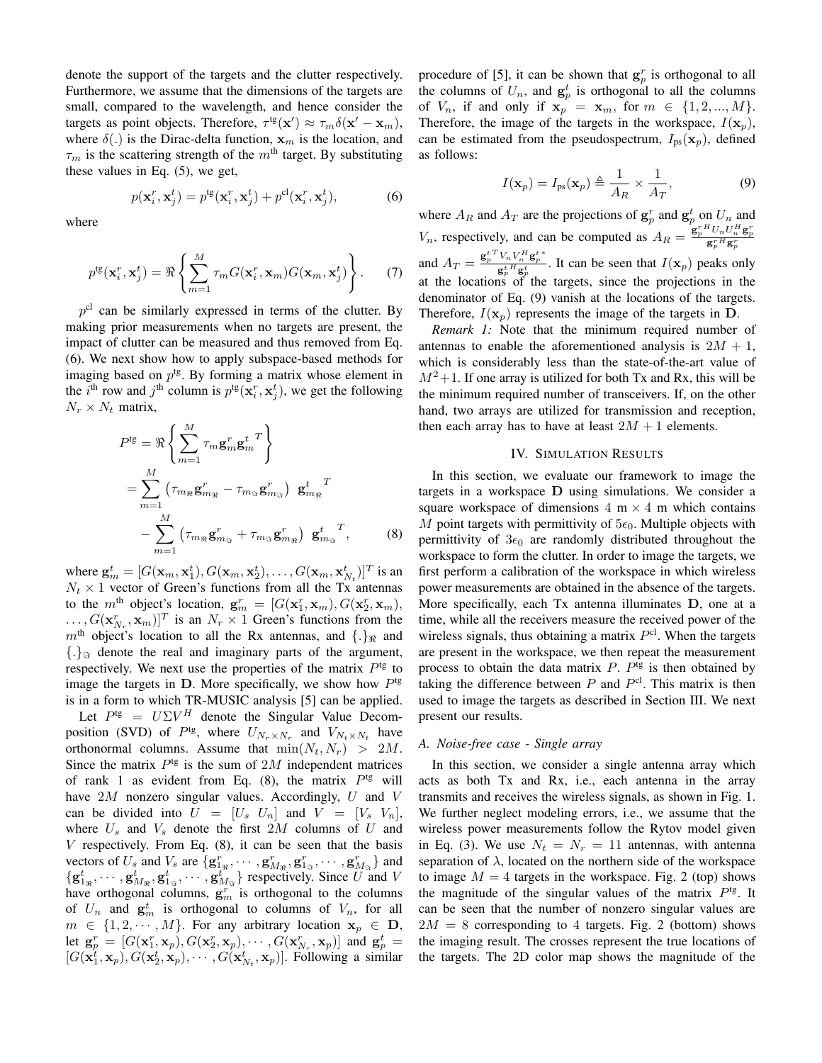denote the support of the targets and the clutter respectively. Furthermore, we assume that the dimensions of the targets are small, compared to the wavelength, and hence consider the targets as point objects. Therefore,  $\tau^{\text{tg}}(\mathbf{x}') \approx \tau_m \delta(\mathbf{x}' - \mathbf{x}_m)$ , where  $\delta(.)$  is the Dirac-delta function,  $x_m$  is the location, and  $\tau_m$  is the scattering strength of the  $m^{\text{th}}$  target. By substituting these values in Eq. (5), we get,

$$
p(\mathbf{x}_i^r, \mathbf{x}_j^t) = p^{\text{tg}}(\mathbf{x}_i^r, \mathbf{x}_j^t) + p^{\text{cl}}(\mathbf{x}_i^r, \mathbf{x}_j^t),\tag{6}
$$

where

$$
p^{tg}(\mathbf{x}_i^r, \mathbf{x}_j^t) = \Re \left\{ \sum_{m=1}^M \tau_m G(\mathbf{x}_i^r, \mathbf{x}_m) G(\mathbf{x}_m, \mathbf{x}_j^t) \right\}.
$$
 (7)

 $p<sup>cl</sup>$  can be similarly expressed in terms of the clutter. By making prior measurements when no targets are present, the impact of clutter can be measured and thus removed from Eq. (6). We next show how to apply subspace-based methods for imaging based on  $p^{\text{tg}}$ . By forming a matrix whose element in the *i*<sup>th</sup> row and *j*<sup>th</sup> column is  $p^{tg}(\mathbf{x}_i^r, \mathbf{x}_j^t)$ , we get the following  $N_r \times N_t$  matrix,

$$
P^{\text{tg}} = \Re \left\{ \sum_{m=1}^{M} \tau_m \mathbf{g}_m^r \mathbf{g}_m^t \right\}
$$
  
= 
$$
\sum_{m=1}^{M} \left( \tau_{m_{\Re}} \mathbf{g}_{m_{\Re}}^r - \tau_{m_{\Im}} \mathbf{g}_{m_{\Im}}^r \right) \mathbf{g}_{m_{\Re}}^t \right\}
$$
  
- 
$$
\sum_{m=1}^{M} \left( \tau_{m_{\Re}} \mathbf{g}_{m_{\Im}}^r + \tau_{m_{\Im}} \mathbf{g}_{m_{\Re}}^r \right) \mathbf{g}_{m_{\Im}}^t \right\}
$$
 (8)

where  $\mathbf{g}_m^t = [G(\mathbf{x}_m, \mathbf{x}_1^t), G(\mathbf{x}_m, \mathbf{x}_2^t), \dots, G(\mathbf{x}_m, \mathbf{x}_{N_t}^t)]^T$  is an  $N_t \times 1$  vector of Green's functions from all the Tx antennas to the m<sup>th</sup> object's location,  $\mathbf{g}_m^r = [G(\mathbf{x}_1^r, \mathbf{x}_m), G(\mathbf{x}_2^r, \mathbf{x}_m),$  $\ldots, G(\mathbf{x}_{N_r}^r, \mathbf{x}_m)]^T$  is an  $N_r \times 1$  Green's functions from the  $m<sup>th</sup>$  object's location to all the Rx antennas, and  $\{.\}$ <sub>R</sub> and  $\{\cdot\}_{\Im}$  denote the real and imaginary parts of the argument, respectively. We next use the properties of the matrix  $P<sup>tg</sup>$  to image the targets in  $D$ . More specifically, we show how  $P<sup>tg</sup>$ is in a form to which TR-MUSIC analysis [5] can be applied.

Let  $P^{\text{tg}} = U\Sigma V^H$  denote the Singular Value Decomposition (SVD) of  $P^{\text{tg}}$ , where  $U_{N_r \times N_r}$  and  $V_{N_t \times N_t}$  have orthonormal columns. Assume that  $\min(N_t, N_r) > 2M$ . Since the matrix  $P^{tg}$  is the sum of 2M independent matrices of rank 1 as evident from Eq. (8), the matrix  $P^{tg}$  will have  $2M$  nonzero singular values. Accordingly, U and V can be divided into  $U = [U_s \ U_n]$  and  $V = [V_s \ V_n]$ , where  $U_s$  and  $V_s$  denote the first 2M columns of U and  $V$  respectively. From Eq.  $(8)$ , it can be seen that the basis vectors of  $U_s$  and  $V_s$  are  $\{g_{1_{\Re}}^r, \cdots, g_{M_{\Re}}^r, g_{1_{\Im}}^r, \cdots, g_{M_{\Im}}^r\}$  and  $\{g_{1_{\Re}}^t, \cdots, g_{M_{\Re}}^t, g_{1_{\Im}}^t, \cdots, g_{M_{\Im}}^t\}$  respectively. Since U and V have orthogonal columns,  $g_m^r$  is orthogonal to the columns of  $U_n$  and  $\mathbf{g}_m^t$  is orthogonal to columns of  $V_n$ , for all  $m \in \{1, 2, \cdots, M\}$ . For any arbitrary location  $x_p \in D$ , let  $\mathbf{g}_p^r = [G(\mathbf{x}_1^r, \mathbf{x}_p), G(\mathbf{x}_2^r, \mathbf{x}_p), \cdots, G(\mathbf{x}_{N_r}^r, \mathbf{x}_p)]$  and  $\mathbf{g}_p^t =$  $[G(\mathbf{x}_1^t, \mathbf{x}_p), G(\mathbf{x}_2^t, \mathbf{x}_p), \cdots, G(\mathbf{x}_{N_t}^t, \mathbf{x}_p)].$  Following a similar

procedure of [5], it can be shown that  $g_p^r$  is orthogonal to all the columns of  $U_n$ , and  $g_p^t$  is orthogonal to all the columns of  $V_n$ , if and only if  $x_p = x_m$ , for  $m \in \{1, 2, ..., M\}$ . Therefore, the image of the targets in the workspace,  $I(\mathbf{x}_p)$ , can be estimated from the pseudospectrum,  $I_{ps}(\mathbf{x}_p)$ , defined as follows:

$$
I(\mathbf{x}_p) = I_{\text{ps}}(\mathbf{x}_p) \triangleq \frac{1}{A_R} \times \frac{1}{A_T},\tag{9}
$$

where  $A_R$  and  $A_T$  are the projections of  $\mathbf{g}_p^r$  and  $\mathbf{g}_p^t$  on  $U_n$  and  $V_n$ , respectively, and can be computed as  $A_R = \frac{\mathbf{g}_p^{rH} U_n U_n^H \mathbf{g}_p^{r}}{\mathbf{g}_p^{rH} \mathbf{g}_p^{r}}$ and  $A_T = \frac{{\bf g}_p^{t\,T} V_n V_n^H {\bf g}_p^{t\,*}}{\sigma^{t\,H}\sigma^{t}}$  $\frac{v_n v_n}{g_p^t H g_p^t}$ . It can be seen that  $I(\mathbf{x}_p)$  peaks only at the locations of the targets, since the projections in the denominator of Eq. (9) vanish at the locations of the targets. Therefore,  $I(\mathbf{x}_p)$  represents the image of the targets in D.

*Remark 1:* Note that the minimum required number of antennas to enable the aforementioned analysis is  $2M + 1$ , which is considerably less than the state-of-the-art value of  $M^2+1$ . If one array is utilized for both Tx and Rx, this will be the minimum required number of transceivers. If, on the other hand, two arrays are utilized for transmission and reception, then each array has to have at least  $2M + 1$  elements.

# IV. SIMULATION RESULTS

In this section, we evaluate our framework to image the targets in a workspace D using simulations. We consider a square workspace of dimensions  $4 \text{ m} \times 4 \text{ m}$  which contains M point targets with permittivity of  $5\epsilon_0$ . Multiple objects with permittivity of  $3\epsilon_0$  are randomly distributed throughout the workspace to form the clutter. In order to image the targets, we first perform a calibration of the workspace in which wireless power measurements are obtained in the absence of the targets. More specifically, each Tx antenna illuminates D, one at a time, while all the receivers measure the received power of the wireless signals, thus obtaining a matrix  $P<sup>cl</sup>$ . When the targets are present in the workspace, we then repeat the measurement process to obtain the data matrix  $P$ .  $P^{tg}$  is then obtained by taking the difference between  $P$  and  $P<sup>cl</sup>$ . This matrix is then used to image the targets as described in Section III. We next present our results.

# *A. Noise-free case - Single array*

In this section, we consider a single antenna array which acts as both Tx and Rx, i.e., each antenna in the array transmits and receives the wireless signals, as shown in Fig. 1. We further neglect modeling errors, i.e., we assume that the wireless power measurements follow the Rytov model given in Eq. (3). We use  $N_t = N_r = 11$  antennas, with antenna separation of  $\lambda$ , located on the northern side of the workspace to image  $M = 4$  targets in the workspace. Fig. 2 (top) shows the magnitude of the singular values of the matrix  $P^{tg}$ . It can be seen that the number of nonzero singular values are  $2M = 8$  corresponding to 4 targets. Fig. 2 (bottom) shows the imaging result. The crosses represent the true locations of the targets. The 2D color map shows the magnitude of the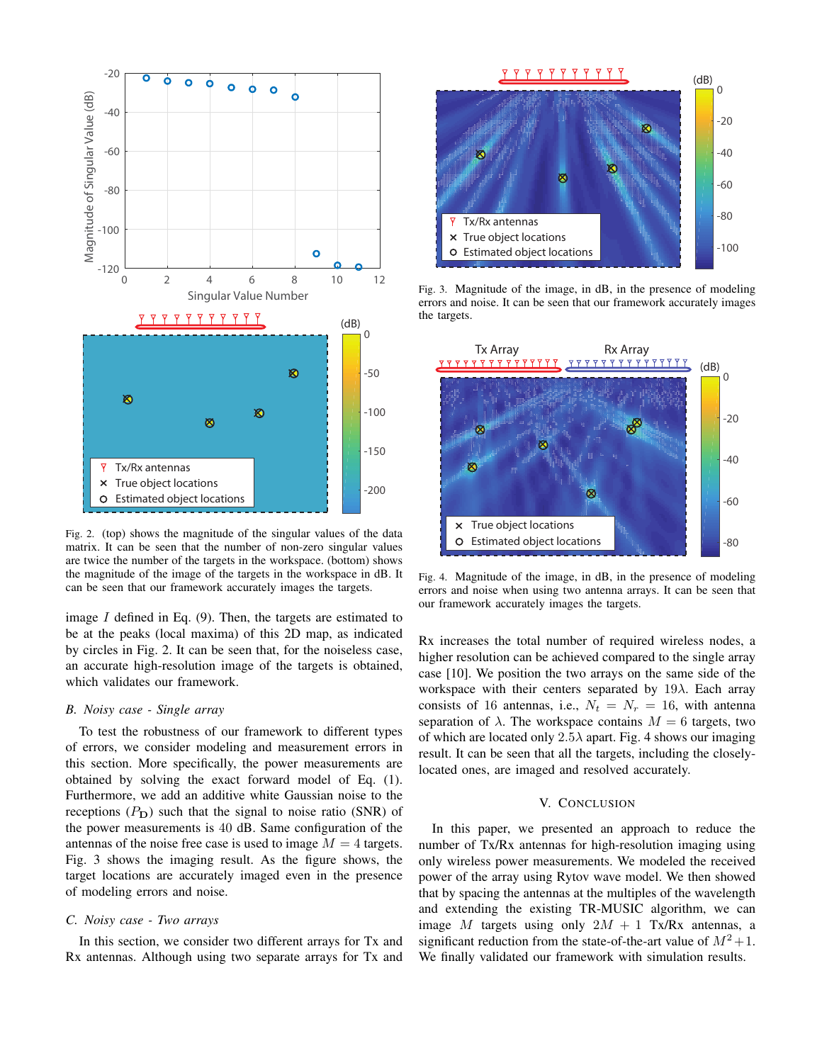

Fig. 2. (top) shows the magnitude of the singular values of the data matrix. It can be seen that the number of non-zero singular values are twice the number of the targets in the workspace. (bottom) shows the magnitude of the image of the targets in the workspace in dB. It can be seen that our framework accurately images the targets.

image  $I$  defined in Eq. (9). Then, the targets are estimated to be at the peaks (local maxima) of this 2D map, as indicated by circles in Fig. 2. It can be seen that, for the noiseless case, an accurate high-resolution image of the targets is obtained, which validates our framework.

#### *B. Noisy case - Single array*

To test the robustness of our framework to different types of errors, we consider modeling and measurement errors in this section. More specifically, the power measurements are obtained by solving the exact forward model of Eq. (1). Furthermore, we add an additive white Gaussian noise to the receptions  $(P<sub>D</sub>)$  such that the signal to noise ratio (SNR) of the power measurements is 40 dB. Same configuration of the antennas of the noise free case is used to image  $M = 4$  targets. Fig. 3 shows the imaging result. As the figure shows, the target locations are accurately imaged even in the presence of modeling errors and noise.

### *C. Noisy case - Two arrays*

In this section, we consider two different arrays for Tx and Rx antennas. Although using two separate arrays for Tx and



Fig. 3. Magnitude of the image, in dB, in the presence of modeling errors and noise. It can be seen that our framework accurately images the targets.



Fig. 4. Magnitude of the image, in dB, in the presence of modeling errors and noise when using two antenna arrays. It can be seen that our framework accurately images the targets.

Rx increases the total number of required wireless nodes, a higher resolution can be achieved compared to the single array case [10]. We position the two arrays on the same side of the workspace with their centers separated by  $19\lambda$ . Each array consists of 16 antennas, i.e.,  $N_t = N_r = 16$ , with antenna separation of  $\lambda$ . The workspace contains  $M = 6$  targets, two of which are located only  $2.5\lambda$  apart. Fig. 4 shows our imaging result. It can be seen that all the targets, including the closelylocated ones, are imaged and resolved accurately.

#### V. CONCLUSION

In this paper, we presented an approach to reduce the number of Tx/Rx antennas for high-resolution imaging using only wireless power measurements. We modeled the received power of the array using Rytov wave model. We then showed that by spacing the antennas at the multiples of the wavelength and extending the existing TR-MUSIC algorithm, we can image M targets using only  $2M + 1$  Tx/Rx antennas, a significant reduction from the state-of-the-art value of  $M^2+1$ . We finally validated our framework with simulation results.